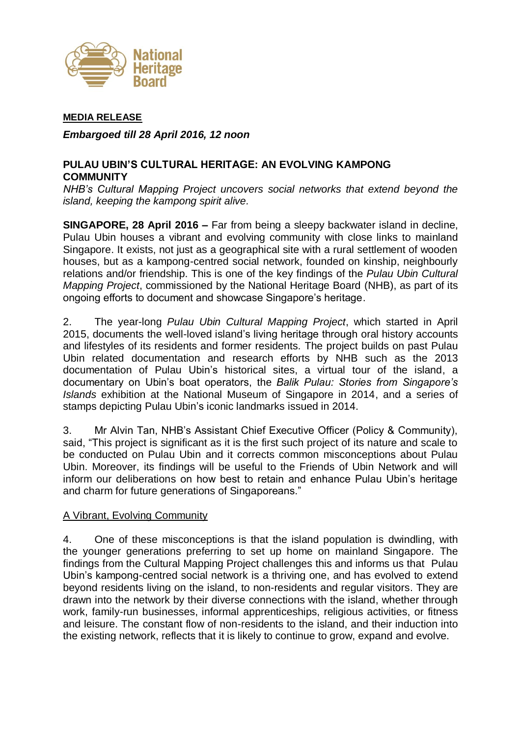

#### **MEDIA RELEASE**

*Embargoed till 28 April 2016, 12 noon*

## **PULAU UBIN'S CULTURAL HERITAGE: AN EVOLVING KAMPONG COMMUNITY**

*NHB's Cultural Mapping Project uncovers social networks that extend beyond the island, keeping the kampong spirit alive.*

**SINGAPORE, 28 April 2016 –** Far from being a sleepy backwater island in decline, Pulau Ubin houses a vibrant and evolving community with close links to mainland Singapore. It exists, not just as a geographical site with a rural settlement of wooden houses, but as a kampong-centred social network, founded on kinship, neighbourly relations and/or friendship. This is one of the key findings of the *Pulau Ubin Cultural Mapping Project*, commissioned by the National Heritage Board (NHB), as part of its ongoing efforts to document and showcase Singapore's heritage.

2. The year-long *Pulau Ubin Cultural Mapping Project*, which started in April 2015, documents the well-loved island's living heritage through oral history accounts and lifestyles of its residents and former residents. The project builds on past Pulau Ubin related documentation and research efforts by NHB such as the 2013 documentation of Pulau Ubin's historical sites, a virtual tour of the island, a documentary on Ubin's boat operators, the *Balik Pulau: Stories from Singapore's Islands* exhibition at the National Museum of Singapore in 2014, and a series of stamps depicting Pulau Ubin's iconic landmarks issued in 2014.

3. Mr Alvin Tan, NHB's Assistant Chief Executive Officer (Policy & Community), said, "This project is significant as it is the first such project of its nature and scale to be conducted on Pulau Ubin and it corrects common misconceptions about Pulau Ubin. Moreover, its findings will be useful to the Friends of Ubin Network and will inform our deliberations on how best to retain and enhance Pulau Ubin's heritage and charm for future generations of Singaporeans."

### A Vibrant, Evolving Community

4. One of these misconceptions is that the island population is dwindling, with the younger generations preferring to set up home on mainland Singapore. The findings from the Cultural Mapping Project challenges this and informs us that Pulau Ubin's kampong-centred social network is a thriving one, and has evolved to extend beyond residents living on the island, to non-residents and regular visitors. They are drawn into the network by their diverse connections with the island, whether through work, family-run businesses, informal apprenticeships, religious activities, or fitness and leisure. The constant flow of non-residents to the island, and their induction into the existing network, reflects that it is likely to continue to grow, expand and evolve.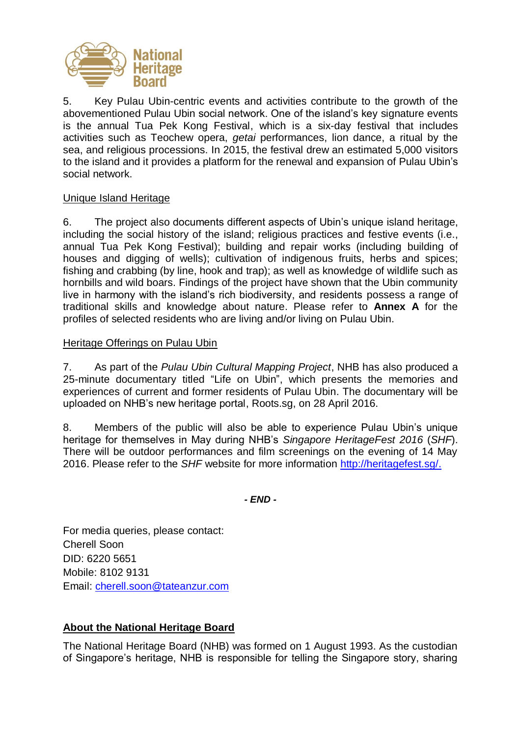

5. Key Pulau Ubin-centric events and activities contribute to the growth of the abovementioned Pulau Ubin social network. One of the island's key signature events is the annual Tua Pek Kong Festival, which is a six-day festival that includes activities such as Teochew opera, *getai* performances, lion dance, a ritual by the sea, and religious processions. In 2015, the festival drew an estimated 5,000 visitors to the island and it provides a platform for the renewal and expansion of Pulau Ubin's social network.

## Unique Island Heritage

6. The project also documents different aspects of Ubin's unique island heritage, including the social history of the island; religious practices and festive events (i.e., annual Tua Pek Kong Festival); building and repair works (including building of houses and digging of wells); cultivation of indigenous fruits, herbs and spices; fishing and crabbing (by line, hook and trap); as well as knowledge of wildlife such as hornbills and wild boars. Findings of the project have shown that the Ubin community live in harmony with the island's rich biodiversity, and residents possess a range of traditional skills and knowledge about nature. Please refer to **Annex A** for the profiles of selected residents who are living and/or living on Pulau Ubin.

### Heritage Offerings on Pulau Ubin

7. As part of the *Pulau Ubin Cultural Mapping Project*, NHB has also produced a 25-minute documentary titled "Life on Ubin", which presents the memories and experiences of current and former residents of Pulau Ubin. The documentary will be uploaded on NHB's new heritage portal, Roots.sg, on 28 April 2016.

8. Members of the public will also be able to experience Pulau Ubin's unique heritage for themselves in May during NHB's *Singapore HeritageFest 2016* (*SHF*). There will be outdoor performances and film screenings on the evening of 14 May 2016. Please refer to the *SHF* website for more information [http://heritagefest.sg/.](http://heritagefest.sg/)

*- END -*

For media queries, please contact: Cherell Soon DID: 6220 5651 Mobile: 8102 9131 Email: [cherell.soon@tateanzur.com](mailto:cherell.soon@tateanzur.com)

# **About the National Heritage Board**

The National Heritage Board (NHB) was formed on 1 August 1993. As the custodian of Singapore's heritage, NHB is responsible for telling the Singapore story, sharing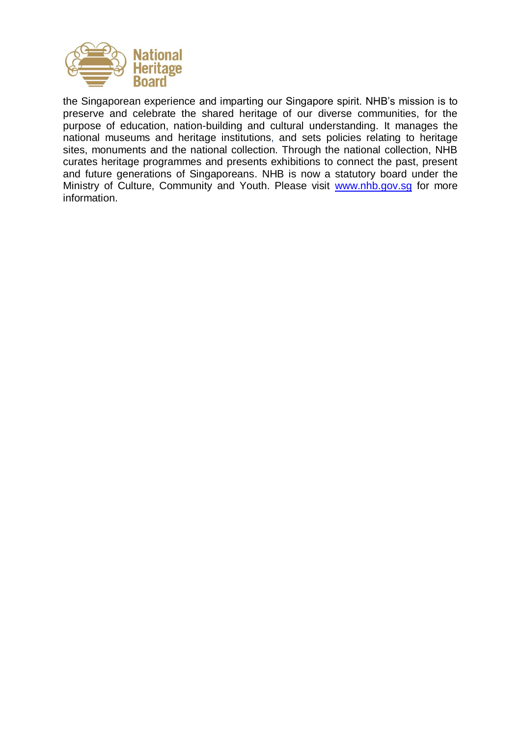

the Singaporean experience and imparting our Singapore spirit. NHB's mission is to preserve and celebrate the shared heritage of our diverse communities, for the purpose of education, nation-building and cultural understanding. It manages the national museums and heritage institutions, and sets policies relating to heritage sites, monuments and the national collection. Through the national collection, NHB curates heritage programmes and presents exhibitions to connect the past, present and future generations of Singaporeans. NHB is now a statutory board under the Ministry of Culture, Community and Youth. Please visit [www.nhb.gov.sg](http://www.nhb.gov.sg/) for more information.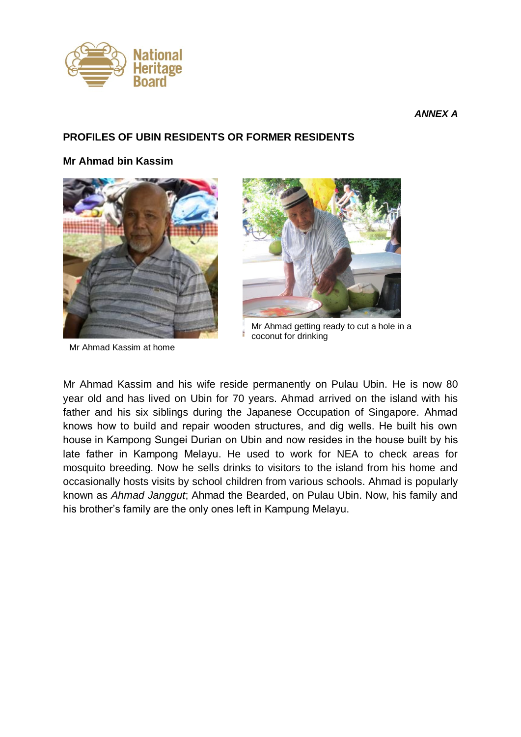

*ANNEX A*

### **PROFILES OF UBIN RESIDENTS OR FORMER RESIDENTS**

#### **Mr Ahmad bin Kassim**



Mr Ahmad Kassim at home



Mr Ahmad getting ready to cut a hole in a coconut for drinking

Mr Ahmad Kassim and his wife reside permanently on Pulau Ubin. He is now 80 year old and has lived on Ubin for 70 years. Ahmad arrived on the island with his father and his six siblings during the Japanese Occupation of Singapore. Ahmad knows how to build and repair wooden structures, and dig wells. He built his own house in Kampong Sungei Durian on Ubin and now resides in the house built by his late father in Kampong Melayu. He used to work for NEA to check areas for mosquito breeding. Now he sells drinks to visitors to the island from his home and occasionally hosts visits by school children from various schools. Ahmad is popularly known as *Ahmad Janggut*; Ahmad the Bearded, on Pulau Ubin. Now, his family and his brother's family are the only ones left in Kampung Melayu.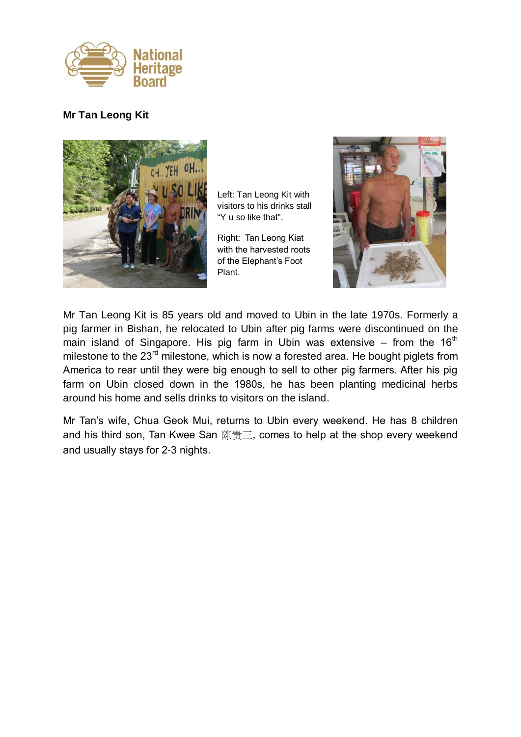

## **Mr Tan Leong Kit**



Left: Tan Leong Kit with visitors to his drinks stall "Y u so like that".

Right: Tan Leong Kiat with the harvested roots of the Elephant's Foot Plant.



Mr Tan Leong Kit is 85 years old and moved to Ubin in the late 1970s. Formerly a pig farmer in Bishan, he relocated to Ubin after pig farms were discontinued on the main island of Singapore. His pig farm in Ubin was extensive – from the  $16<sup>th</sup>$ milestone to the 23<sup>rd</sup> milestone, which is now a forested area. He bought piglets from America to rear until they were big enough to sell to other pig farmers. After his pig farm on Ubin closed down in the 1980s, he has been planting medicinal herbs around his home and sells drinks to visitors on the island.

Mr Tan's wife, Chua Geok Mui, returns to Ubin every weekend. He has 8 children and his third son, Tan Kwee San 陈贵三, comes to help at the shop every weekend and usually stays for 2-3 nights.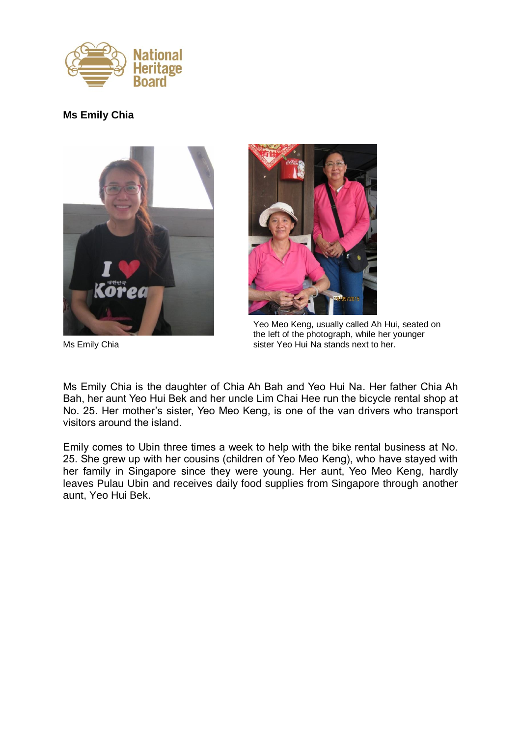

# **Ms Emily Chia**





Yeo Meo Keng, usually called Ah Hui, seated on the left of the photograph, while her younger Ms Emily Chia sister Yeo Hui Na stands next to her.

Ms Emily Chia is the daughter of Chia Ah Bah and Yeo Hui Na. Her father Chia Ah Bah, her aunt Yeo Hui Bek and her uncle Lim Chai Hee run the bicycle rental shop at No. 25. Her mother's sister, Yeo Meo Keng, is one of the van drivers who transport visitors around the island.

Emily comes to Ubin three times a week to help with the bike rental business at No. 25. She grew up with her cousins (children of Yeo Meo Keng), who have stayed with her family in Singapore since they were young. Her aunt, Yeo Meo Keng, hardly leaves Pulau Ubin and receives daily food supplies from Singapore through another aunt, Yeo Hui Bek.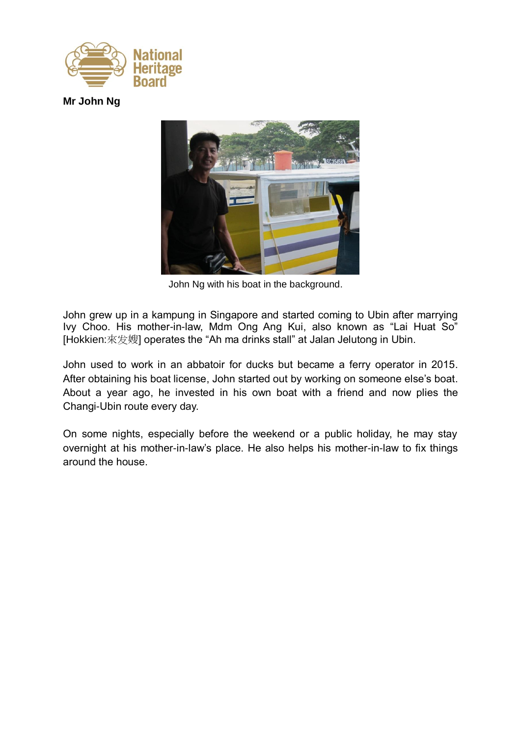

**Mr John Ng**



John Ng with his boat in the background.

John grew up in a kampung in Singapore and started coming to Ubin after marrying Ivy Choo. His mother-in-law, Mdm Ong Ang Kui, also known as "Lai Huat So" [Hokkien:來发嫂] operates the "Ah ma drinks stall" at Jalan Jelutong in Ubin.

John used to work in an abbatoir for ducks but became a ferry operator in 2015. After obtaining his boat license, John started out by working on someone else's boat. About a year ago, he invested in his own boat with a friend and now plies the Changi-Ubin route every day.

On some nights, especially before the weekend or a public holiday, he may stay overnight at his mother-in-law's place. He also helps his mother-in-law to fix things around the house.